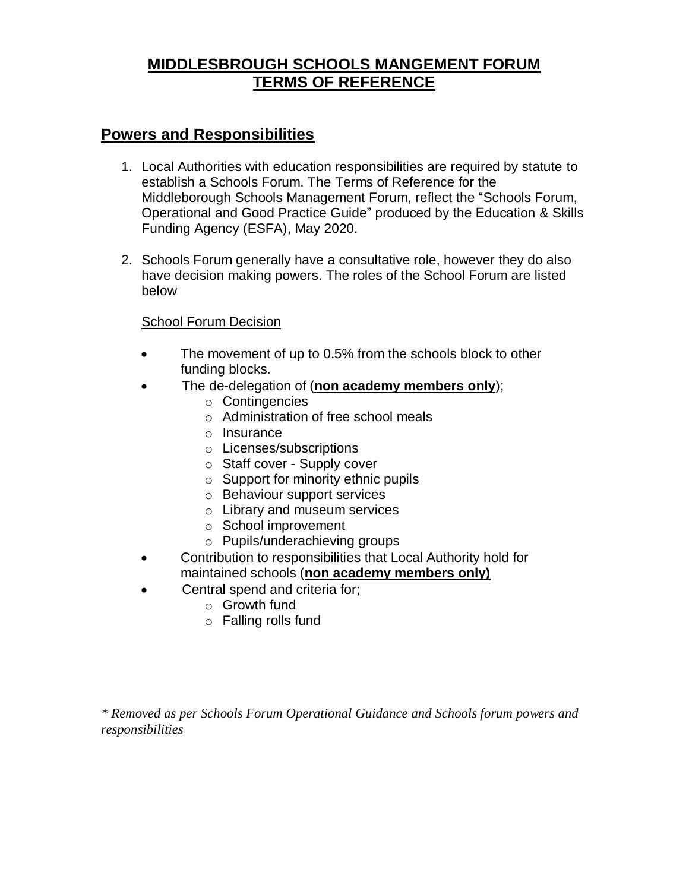# **MIDDLESBROUGH SCHOOLS MANGEMENT FORUM TERMS OF REFERENCE**

## **Powers and Responsibilities**

- 1. Local Authorities with education responsibilities are required by statute to establish a Schools Forum. The Terms of Reference for the Middleborough Schools Management Forum, reflect the "Schools Forum, Operational and Good Practice Guide" produced by the Education & Skills Funding Agency (ESFA), May 2020.
- 2. Schools Forum generally have a consultative role, however they do also have decision making powers. The roles of the School Forum are listed below

#### School Forum Decision

- The movement of up to 0.5% from the schools block to other funding blocks.
- The de-delegation of (**non academy members only**);
	- o Contingencies
	- o Administration of free school meals
	- o Insurance
	- o Licenses/subscriptions
	- o Staff cover Supply cover
	- $\circ$  Support for minority ethnic pupils
	- o Behaviour support services
	- o Library and museum services
	- o School improvement
	- o Pupils/underachieving groups
- Contribution to responsibilities that Local Authority hold for maintained schools (**non academy members only)**
	- Central spend and criteria for;
		- o Growth fund
			- o Falling rolls fund

*\* Removed as per Schools Forum Operational Guidance and Schools forum powers and responsibilities*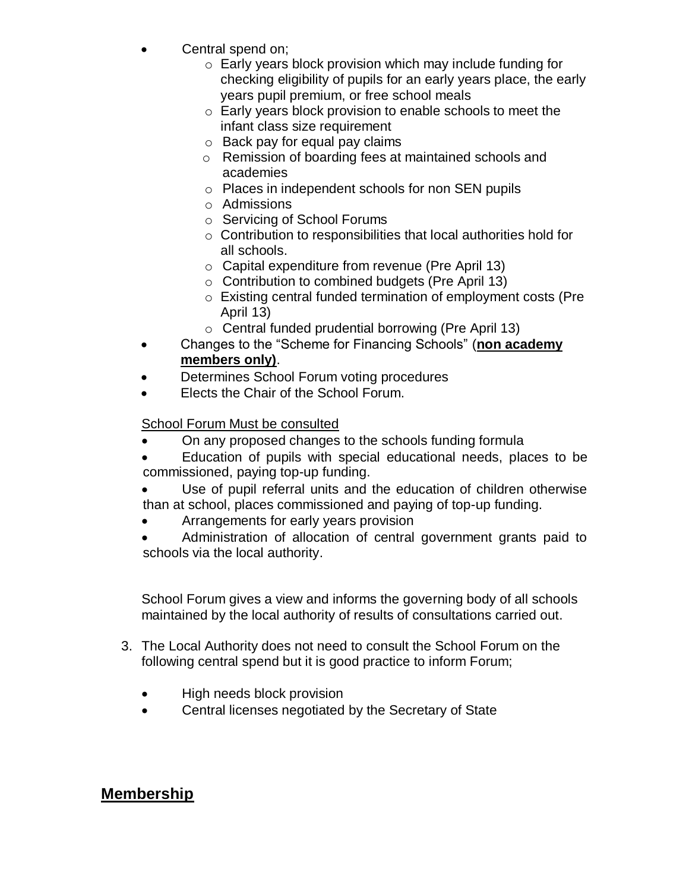- Central spend on;
	- o Early years block provision which may include funding for checking eligibility of pupils for an early years place, the early years pupil premium, or free school meals
	- o Early years block provision to enable schools to meet the infant class size requirement
	- $\circ$  Back pay for equal pay claims
	- o Remission of boarding fees at maintained schools and academies
	- o Places in independent schools for non SEN pupils
	- o Admissions
	- o Servicing of School Forums
	- o Contribution to responsibilities that local authorities hold for all schools.
	- o Capital expenditure from revenue (Pre April 13)
	- o Contribution to combined budgets (Pre April 13)
	- o Existing central funded termination of employment costs (Pre April 13)
	- o Central funded prudential borrowing (Pre April 13)
- Changes to the "Scheme for Financing Schools" (**non academy members only)**.
- Determines School Forum voting procedures
- Elects the Chair of the School Forum.

#### School Forum Must be consulted

- On any proposed changes to the schools funding formula
- Education of pupils with special educational needs, places to be commissioned, paying top-up funding.
- Use of pupil referral units and the education of children otherwise than at school, places commissioned and paying of top-up funding.
- Arrangements for early years provision
- Administration of allocation of central government grants paid to schools via the local authority.

School Forum gives a view and informs the governing body of all schools maintained by the local authority of results of consultations carried out.

- 3. The Local Authority does not need to consult the School Forum on the following central spend but it is good practice to inform Forum;
	- High needs block provision
	- Central licenses negotiated by the Secretary of State

# **Membership**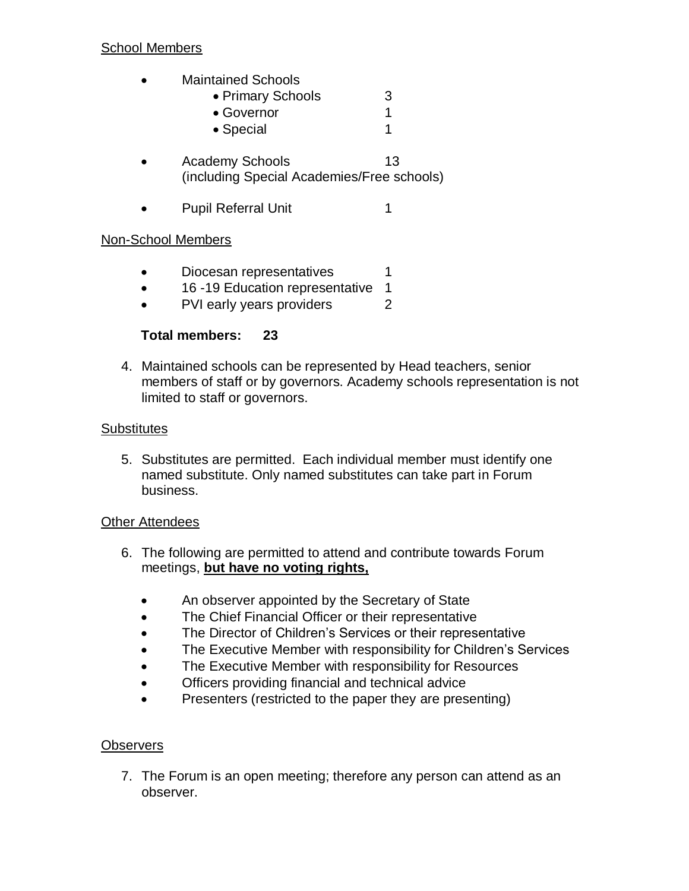#### School Members

- Maintained Schools
	- Primary Schools 3 • Governor 1
		- Special 1
- Academy Schools 13 (including Special Academies/Free schools)
- Pupil Referral Unit 1

### Non-School Members

- Diocesan representatives 1
- 16 -19 Education representative 1
- PVI early years providers 2

### **Total members: 23**

4. Maintained schools can be represented by Head teachers, senior members of staff or by governors. Academy schools representation is not limited to staff or governors.

#### **Substitutes**

5. Substitutes are permitted. Each individual member must identify one named substitute. Only named substitutes can take part in Forum business.

### **Other Attendees**

- 6. The following are permitted to attend and contribute towards Forum meetings, **but have no voting rights,**
	- An observer appointed by the Secretary of State
	- The Chief Financial Officer or their representative
	- The Director of Children's Services or their representative
	- The Executive Member with responsibility for Children's Services
	- The Executive Member with responsibility for Resources
	- **•** Officers providing financial and technical advice
	- Presenters (restricted to the paper they are presenting)

### **Observers**

7. The Forum is an open meeting; therefore any person can attend as an observer.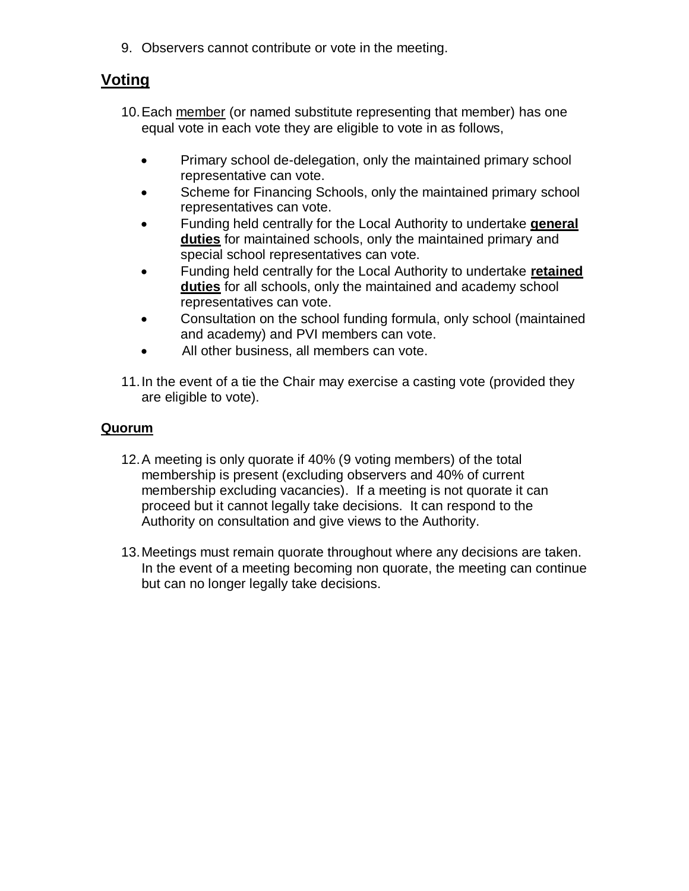9. Observers cannot contribute or vote in the meeting.

# **Voting**

- 10.Each member (or named substitute representing that member) has one equal vote in each vote they are eligible to vote in as follows,
	- Primary school de-delegation, only the maintained primary school representative can vote.
	- Scheme for Financing Schools, only the maintained primary school representatives can vote.
	- Funding held centrally for the Local Authority to undertake **general duties** for maintained schools, only the maintained primary and special school representatives can vote.
	- Funding held centrally for the Local Authority to undertake **retained duties** for all schools, only the maintained and academy school representatives can vote.
	- Consultation on the school funding formula, only school (maintained and academy) and PVI members can vote.
	- All other business, all members can vote.
- 11.In the event of a tie the Chair may exercise a casting vote (provided they are eligible to vote).

### **Quorum**

- 12.A meeting is only quorate if 40% (9 voting members) of the total membership is present (excluding observers and 40% of current membership excluding vacancies). If a meeting is not quorate it can proceed but it cannot legally take decisions. It can respond to the Authority on consultation and give views to the Authority.
- 13.Meetings must remain quorate throughout where any decisions are taken. In the event of a meeting becoming non quorate, the meeting can continue but can no longer legally take decisions.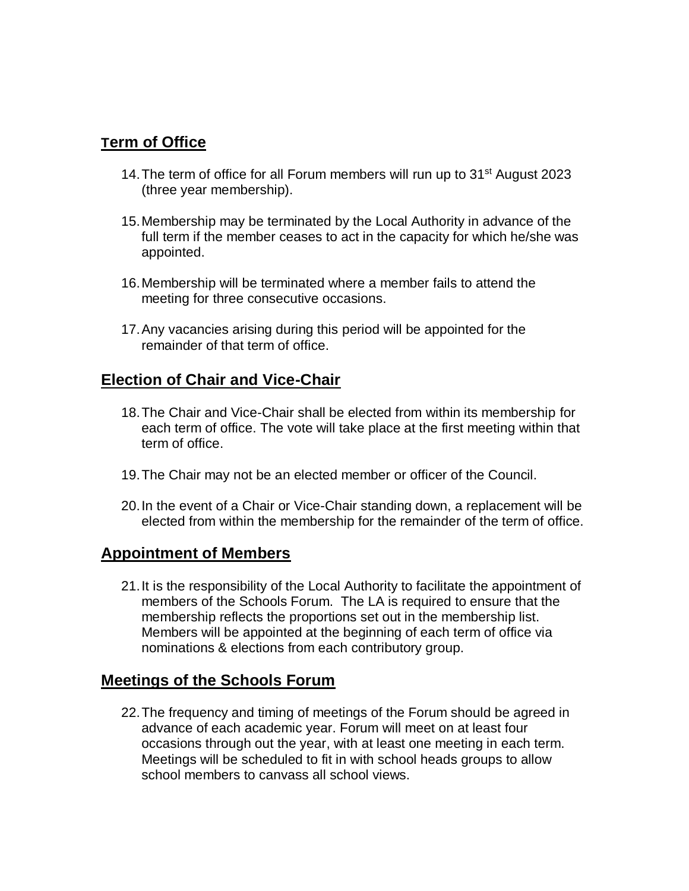## **Term of Office**

- 14. The term of office for all Forum members will run up to 31<sup>st</sup> August 2023 (three year membership).
- 15.Membership may be terminated by the Local Authority in advance of the full term if the member ceases to act in the capacity for which he/she was appointed.
- 16.Membership will be terminated where a member fails to attend the meeting for three consecutive occasions.
- 17.Any vacancies arising during this period will be appointed for the remainder of that term of office.

## **Election of Chair and Vice-Chair**

- 18.The Chair and Vice-Chair shall be elected from within its membership for each term of office. The vote will take place at the first meeting within that term of office.
- 19.The Chair may not be an elected member or officer of the Council.
- 20.In the event of a Chair or Vice-Chair standing down, a replacement will be elected from within the membership for the remainder of the term of office.

### **Appointment of Members**

21.It is the responsibility of the Local Authority to facilitate the appointment of members of the Schools Forum. The LA is required to ensure that the membership reflects the proportions set out in the membership list. Members will be appointed at the beginning of each term of office via nominations & elections from each contributory group.

### **Meetings of the Schools Forum**

22.The frequency and timing of meetings of the Forum should be agreed in advance of each academic year. Forum will meet on at least four occasions through out the year, with at least one meeting in each term. Meetings will be scheduled to fit in with school heads groups to allow school members to canvass all school views.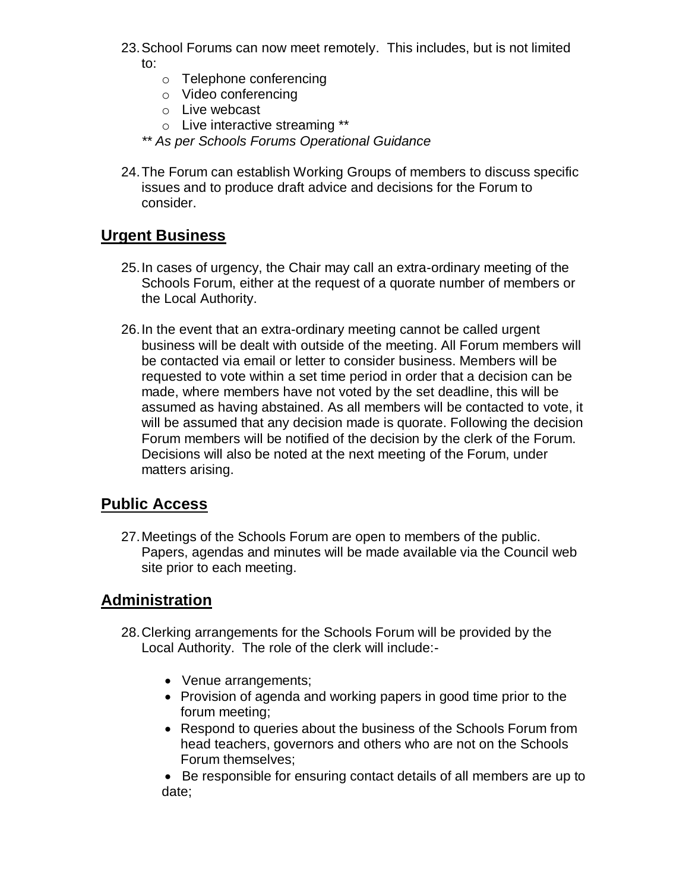- 23.School Forums can now meet remotely. This includes, but is not limited to:
	- o Telephone conferencing
	- o Video conferencing
	- o Live webcast
	- o Live interactive streaming \*\*
	- *\*\* As per Schools Forums Operational Guidance*
- 24.The Forum can establish Working Groups of members to discuss specific issues and to produce draft advice and decisions for the Forum to consider.

# **Urgent Business**

- 25.In cases of urgency, the Chair may call an extra-ordinary meeting of the Schools Forum, either at the request of a quorate number of members or the Local Authority.
- 26.In the event that an extra-ordinary meeting cannot be called urgent business will be dealt with outside of the meeting. All Forum members will be contacted via email or letter to consider business. Members will be requested to vote within a set time period in order that a decision can be made, where members have not voted by the set deadline, this will be assumed as having abstained. As all members will be contacted to vote, it will be assumed that any decision made is quorate. Following the decision Forum members will be notified of the decision by the clerk of the Forum. Decisions will also be noted at the next meeting of the Forum, under matters arising.

# **Public Access**

27.Meetings of the Schools Forum are open to members of the public. Papers, agendas and minutes will be made available via the Council web site prior to each meeting.

# **Administration**

- 28.Clerking arrangements for the Schools Forum will be provided by the Local Authority. The role of the clerk will include:-
	- Venue arrangements;
	- Provision of agenda and working papers in good time prior to the forum meeting;
	- Respond to queries about the business of the Schools Forum from head teachers, governors and others who are not on the Schools Forum themselves;

 Be responsible for ensuring contact details of all members are up to date;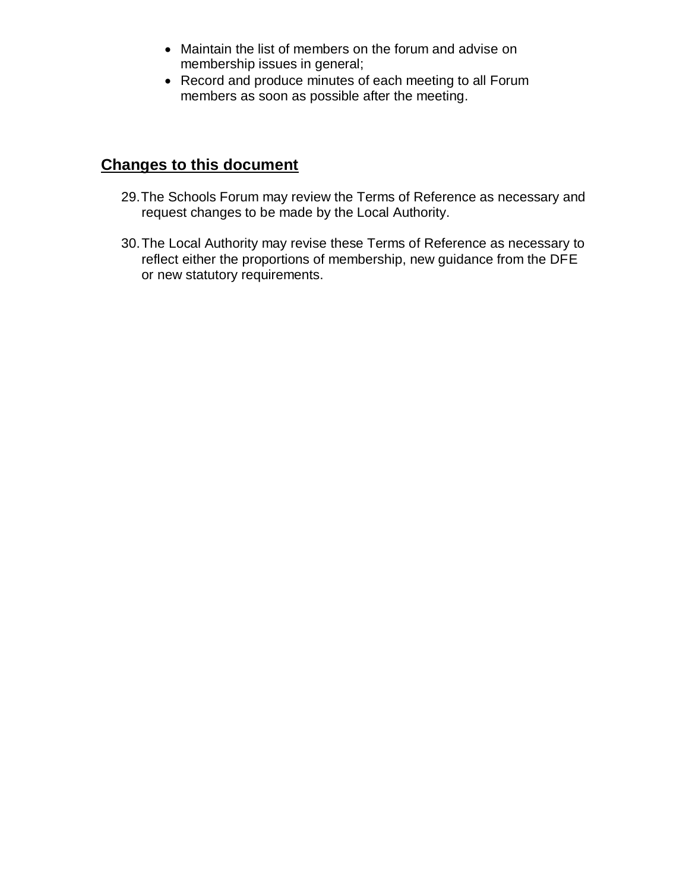- Maintain the list of members on the forum and advise on membership issues in general;
- Record and produce minutes of each meeting to all Forum members as soon as possible after the meeting.

# **Changes to this document**

- 29.The Schools Forum may review the Terms of Reference as necessary and request changes to be made by the Local Authority.
- 30.The Local Authority may revise these Terms of Reference as necessary to reflect either the proportions of membership, new guidance from the DFE or new statutory requirements.